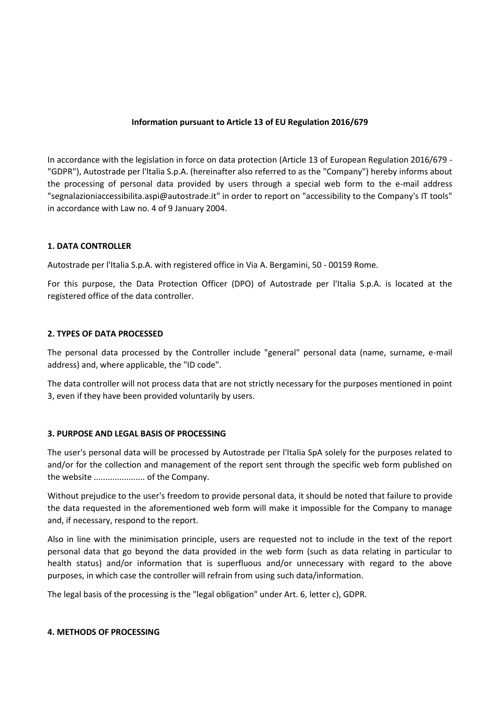### **Information pursuant to Article 13 of EU Regulation 2016/679**

In accordance with the legislation in force on data protection (Article 13 of European Regulation 2016/679 - "GDPR"), Autostrade per l'ltalia S.p.A. (hereinafter also referred to as the "Company") hereby informs about the processing of personal data provided by users through a special web form to the e-mail address "segnalazioniaccessibilita.aspi@autostrade.it" in order to report on "accessibility to the Company's IT tools" in accordance with Law no. 4 of 9 January 2004.

## **1. DATA CONTROLLER**

Autostrade per l'Italia S.p.A. with registered office in Via A. Bergamini, 50 - 00159 Rome.

For this purpose, the Data Protection Officer (DPO) of Autostrade per l'Italia S.p.A. is located at the registered office of the data controller.

#### **2. TYPES OF DATA PROCESSED**

The personal data processed by the Controller include "general" personal data (name, surname, e-mail address) and, where applicable, the "ID code".

The data controller will not process data that are not strictly necessary for the purposes mentioned in point 3, even if they have been provided voluntarily by users.

#### **3. PURPOSE AND LEGAL BASIS OF PROCESSING**

The user's personal data will be processed by Autostrade per l'Italia SpA solely for the purposes related to and/or for the collection and management of the report sent through the specific web form published on the website ...................... of the Company.

Without prejudice to the user's freedom to provide personal data, it should be noted that failure to provide the data requested in the aforementioned web form will make it impossible for the Company to manage and, if necessary, respond to the report.

Also in line with the minimisation principle, users are requested not to include in the text of the report personal data that go beyond the data provided in the web form (such as data relating in particular to health status) and/or information that is superfluous and/or unnecessary with regard to the above purposes, in which case the controller will refrain from using such data/information.

The legal basis of the processing is the "legal obligation" under Art. 6, letter c), GDPR.

#### **4. METHODS OF PROCESSING**